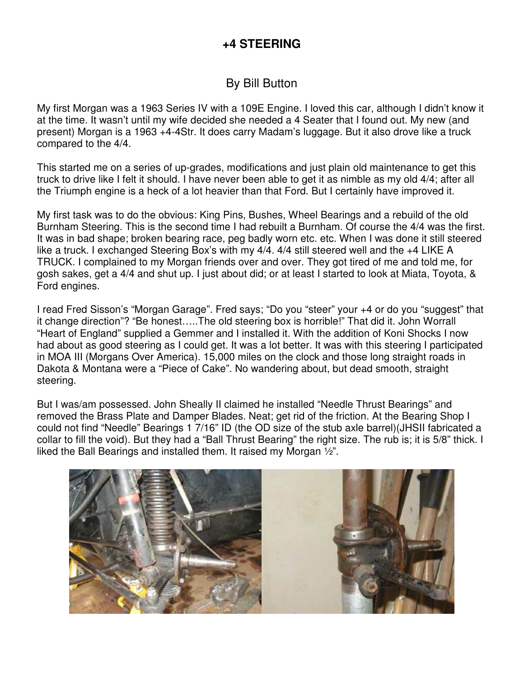## **+4 STEERING**

## By Bill Button

My first Morgan was a 1963 Series IV with a 109E Engine. I loved this car, although I didn't know it at the time. It wasn't until my wife decided she needed a 4 Seater that I found out. My new (and present) Morgan is a 1963 +4-4Str. It does carry Madam's luggage. But it also drove like a truck compared to the 4/4.

This started me on a series of up-grades, modifications and just plain old maintenance to get this truck to drive like I felt it should. I have never been able to get it as nimble as my old 4/4; after all the Triumph engine is a heck of a lot heavier than that Ford. But I certainly have improved it.

My first task was to do the obvious: King Pins, Bushes, Wheel Bearings and a rebuild of the old Burnham Steering. This is the second time I had rebuilt a Burnham. Of course the 4/4 was the first. It was in bad shape; broken bearing race, peg badly worn etc. etc. When I was done it still steered like a truck. I exchanged Steering Box's with my 4/4, 4/4 still steered well and the +4 LIKE A TRUCK. I complained to my Morgan friends over and over. They got tired of me and told me, for gosh sakes, get a 4/4 and shut up. I just about did; or at least I started to look at Miata, Toyota, & Ford engines.

I read Fred Sisson's "Morgan Garage". Fred says; "Do you "steer" your +4 or do you "suggest" that it change direction"? "Be honest…..The old steering box is horrible!" That did it. John Worrall "Heart of England" supplied a Gemmer and I installed it. With the addition of Koni Shocks I now had about as good steering as I could get. It was a lot better. It was with this steering I participated in MOA III (Morgans Over America). 15,000 miles on the clock and those long straight roads in Dakota & Montana were a "Piece of Cake". No wandering about, but dead smooth, straight steering.

But I was/am possessed. John Sheally II claimed he installed "Needle Thrust Bearings" and removed the Brass Plate and Damper Blades. Neat; get rid of the friction. At the Bearing Shop I could not find "Needle" Bearings 1 7/16" ID (the OD size of the stub axle barrel)(JHSII fabricated a collar to fill the void). But they had a "Ball Thrust Bearing" the right size. The rub is; it is 5/8" thick. I liked the Ball Bearings and installed them. It raised my Morgan ½".